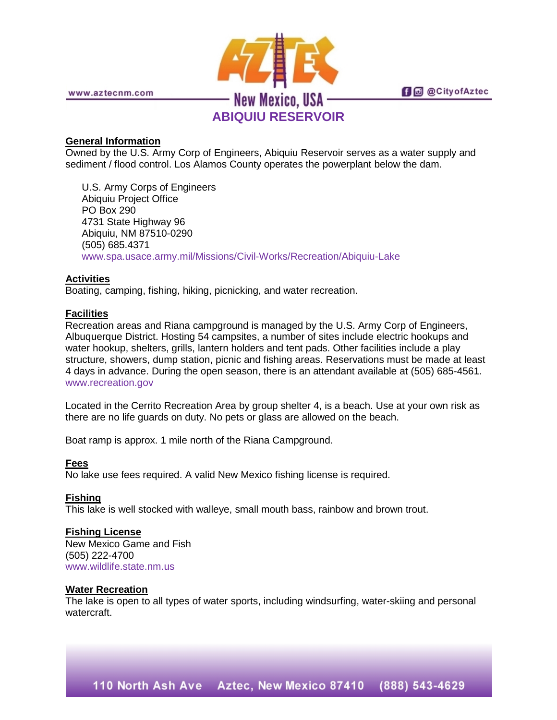

**fi** @ @ City of Aztec

www.aztecnm.com

## **General Information**

Owned by the U.S. Army Corp of Engineers, Abiquiu Reservoir serves as a water supply and sediment / flood control. Los Alamos County operates the powerplant below the dam.

U.S. Army Corps of Engineers Abiquiu Project Office PO Box 290 4731 State Highway 96 Abiquiu, NM 87510-0290 (505) 685.4371 [www.spa.usace.army.mil/Missions/Civil-Works/Recreation/Abiquiu-Lake](http://www.spa.usace.army.mil/Missions/Civil-Works/Recreation/Abiquiu-Lake)

# **Activities**

Boating, camping, fishing, hiking, picnicking, and water recreation.

### **Facilities**

Recreation areas and Riana campground is managed by the U.S. Army Corp of Engineers, Albuquerque District. Hosting 54 campsites, a number of sites include electric hookups and water hookup, shelters, grills, lantern holders and tent pads. Other facilities include a play structure, showers, dump station, picnic and fishing areas. Reservations must be made at least 4 days in advance. During the open season, there is an attendant available at (505) 685-4561. [www.recreation.gov](http://www.recreation.gov/)

Located in the Cerrito Recreation Area by group shelter 4, is a beach. Use at your own risk as there are no life guards on duty. No pets or glass are allowed on the beach.

Boat ramp is approx. 1 mile north of the Riana Campground.

### **Fees**

No lake use fees required. A valid New Mexico fishing license is required.

### **Fishing**

This lake is well stocked with walleye, small mouth bass, rainbow and brown trout.

### **Fishing License**

New Mexico Game and Fish (505) 222-4700 [www.wildlife.state.nm.us](http://www.wildlife.state.nm.us/)

#### **Water Recreation**

The lake is open to all types of water sports, including windsurfing, water-skiing and personal watercraft.